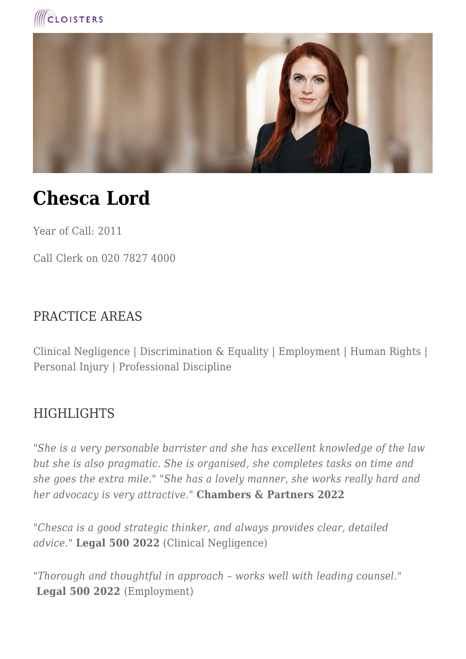



# **Chesca Lord**

Year of Call: 2011

Call Clerk on 020 7827 4000

#### PRACTICE AREAS

Clinical Negligence | Discrimination & Equality | Employment | Human Rights | Personal Injury | Professional Discipline

#### **HIGHLIGHTS**

*"She is a very personable barrister and she has excellent knowledge of the law but she is also pragmatic. She is organised, she completes tasks on time and she goes the extra mile." "She has a lovely manner, she works really hard and her advocacy is very attractive."* **Chambers & Partners 2022**

"*Chesca is a good strategic thinker, and always provides clear, detailed advice."* **Legal 500 2022** (Clinical Negligence)

*"Thorough and thoughtful in approach – works well with leading counsel."* **Legal 500 2022** (Employment)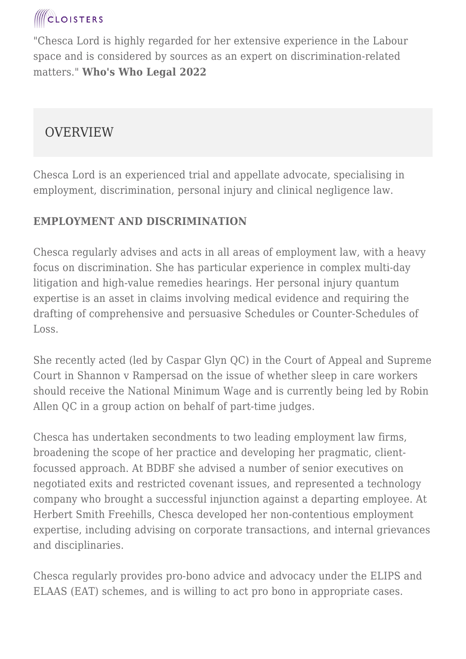## **CLOISTERS**

"Chesca Lord is highly regarded for her extensive experience in the Labour space and is considered by sources as an expert on discrimination-related matters." **Who's Who Legal 2022**

### **OVERVIEW**

Chesca Lord is an experienced trial and appellate advocate, specialising in employment, discrimination, personal injury and clinical negligence law.

#### **EMPLOYMENT AND DISCRIMINATION**

Chesca regularly advises and acts in all areas of employment law, with a heavy focus on discrimination. She has particular experience in complex multi-day litigation and high-value remedies hearings. Her personal injury quantum expertise is an asset in claims involving medical evidence and requiring the drafting of comprehensive and persuasive Schedules or Counter-Schedules of Loss.

She recently acted (led by Caspar Glyn QC) in the Court of Appeal and Supreme Court in Shannon v Rampersad on the issue of whether sleep in care workers should receive the National Minimum Wage and is currently being led by Robin Allen OC in a group action on behalf of part-time judges.

Chesca has undertaken secondments to two leading employment law firms, broadening the scope of her practice and developing her pragmatic, clientfocussed approach. At BDBF she advised a number of senior executives on negotiated exits and restricted covenant issues, and represented a technology company who brought a successful injunction against a departing employee. At Herbert Smith Freehills, Chesca developed her non-contentious employment expertise, including advising on corporate transactions, and internal grievances and disciplinaries.

Chesca regularly provides pro-bono advice and advocacy under the ELIPS and ELAAS (EAT) schemes, and is willing to act pro bono in appropriate cases.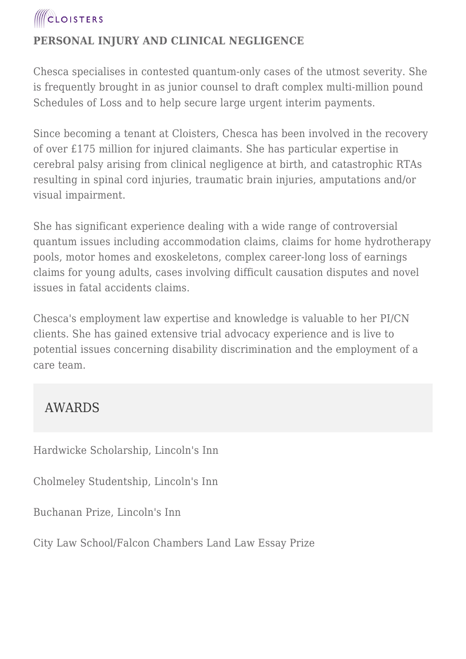

#### **PERSONAL INJURY AND CLINICAL NEGLIGENCE**

Chesca specialises in contested quantum-only cases of the utmost severity. She is frequently brought in as junior counsel to draft complex multi-million pound Schedules of Loss and to help secure large urgent interim payments.

Since becoming a tenant at Cloisters, Chesca has been involved in the recovery of over £175 million for injured claimants. She has particular expertise in cerebral palsy arising from clinical negligence at birth, and catastrophic RTAs resulting in spinal cord injuries, traumatic brain injuries, amputations and/or visual impairment.

She has significant experience dealing with a wide range of controversial quantum issues including accommodation claims, claims for home hydrotherapy pools, motor homes and exoskeletons, complex career-long loss of earnings claims for young adults, cases involving difficult causation disputes and novel issues in fatal accidents claims.

Chesca's employment law expertise and knowledge is valuable to her PI/CN clients. She has gained extensive trial advocacy experience and is live to potential issues concerning disability discrimination and the employment of a care team.

#### AWARDS

Hardwicke Scholarship, Lincoln's Inn

Cholmeley Studentship, Lincoln's Inn

Buchanan Prize, Lincoln's Inn

City Law School/Falcon Chambers Land Law Essay Prize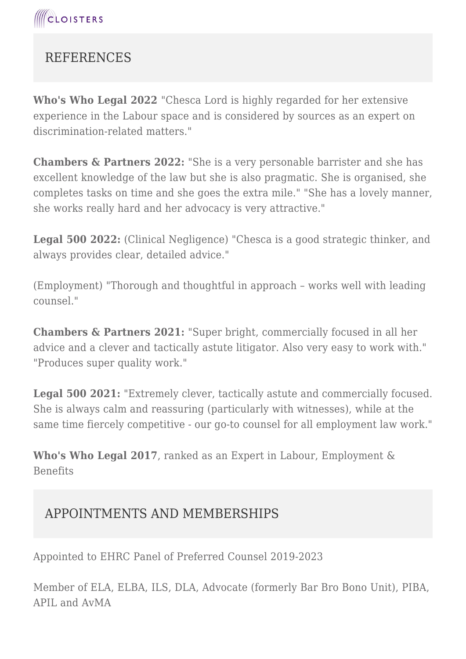

### **REFERENCES**

**Who's Who Legal 2022** "Chesca Lord is highly regarded for her extensive experience in the Labour space and is considered by sources as an expert on discrimination-related matters."

**Chambers & Partners 2022:** "She is a very personable barrister and she has excellent knowledge of the law but she is also pragmatic. She is organised, she completes tasks on time and she goes the extra mile." "She has a lovely manner, she works really hard and her advocacy is very attractive."

**Legal 500 2022:** (Clinical Negligence) "Chesca is a good strategic thinker, and always provides clear, detailed advice."

(Employment) "Thorough and thoughtful in approach – works well with leading counsel."

**Chambers & Partners 2021:** "Super bright, commercially focused in all her advice and a clever and tactically astute litigator. Also very easy to work with." "Produces super quality work."

**Legal 500 2021:** "Extremely clever, tactically astute and commercially focused. She is always calm and reassuring (particularly with witnesses), while at the same time fiercely competitive - our go-to counsel for all employment law work."

**Who's Who Legal 2017**, ranked as an Expert in Labour, Employment & Benefits

#### APPOINTMENTS AND MEMBERSHIPS

Appointed to EHRC Panel of Preferred Counsel 2019-2023

Member of ELA, ELBA, ILS, DLA, Advocate (formerly Bar Bro Bono Unit), PIBA, APIL and AvMA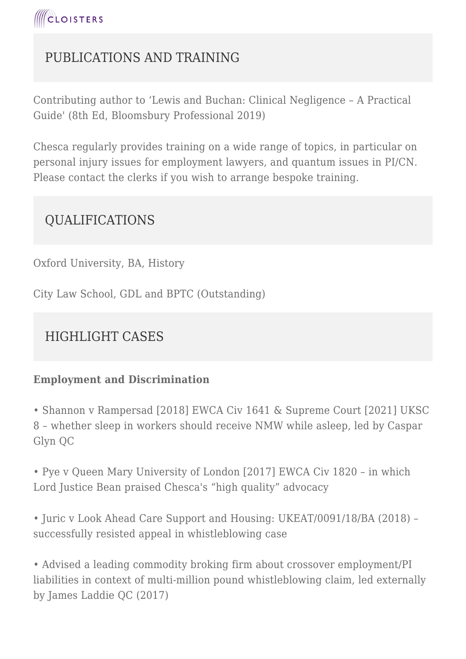

### PUBLICATIONS AND TRAINING

Contributing author to 'Lewis and Buchan: Clinical Negligence – A Practical Guide' (8th Ed, Bloomsbury Professional 2019)

Chesca regularly provides training on a wide range of topics, in particular on personal injury issues for employment lawyers, and quantum issues in PI/CN. Please contact the clerks if you wish to arrange bespoke training.

#### QUALIFICATIONS

Oxford University, BA, History

City Law School, GDL and BPTC (Outstanding)

### HIGHLIGHT CASES

#### **Employment and Discrimination**

• Shannon v Rampersad [2018] EWCA Civ 1641 & Supreme Court [2021] UKSC 8 – whether sleep in workers should receive NMW while asleep, led by Caspar Glyn QC

• Pye v Queen Mary University of London [2017] EWCA Civ 1820 – in which Lord Justice Bean praised Chesca's "high quality" advocacy

• Juric v Look Ahead Care Support and Housing: UKEAT/0091/18/BA (2018) – successfully resisted appeal in whistleblowing case

• Advised a leading commodity broking firm about crossover employment/PI liabilities in context of multi-million pound whistleblowing claim, led externally by James Laddie QC (2017)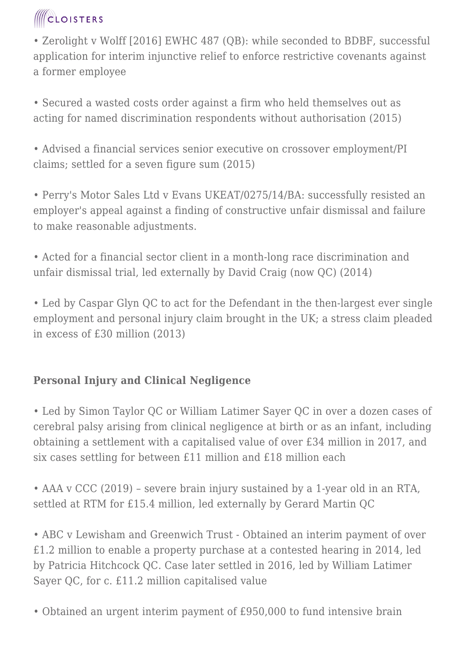## **ICLOISTERS**

• Zerolight v Wolff [2016] EWHC 487 (QB): while seconded to BDBF, successful application for interim injunctive relief to enforce restrictive covenants against a former employee

• Secured a wasted costs order against a firm who held themselves out as acting for named discrimination respondents without authorisation (2015)

• Advised a financial services senior executive on crossover employment/PI claims; settled for a seven figure sum (2015)

• Perry's Motor Sales Ltd v Evans UKEAT/0275/14/BA: successfully resisted an employer's appeal against a finding of constructive unfair dismissal and failure to make reasonable adjustments.

• Acted for a financial sector client in a month-long race discrimination and unfair dismissal trial, led externally by David Craig (now QC) (2014)

• Led by Caspar Glyn QC to act for the Defendant in the then-largest ever single employment and personal injury claim brought in the UK; a stress claim pleaded in excess of £30 million (2013)

#### **Personal Injury and Clinical Negligence**

• Led by Simon Taylor QC or William Latimer Sayer QC in over a dozen cases of cerebral palsy arising from clinical negligence at birth or as an infant, including obtaining a settlement with a capitalised value of over £34 million in 2017, and six cases settling for between £11 million and £18 million each

• AAA v CCC (2019) – severe brain injury sustained by a 1-year old in an RTA, settled at RTM for £15.4 million, led externally by Gerard Martin QC

• ABC v Lewisham and Greenwich Trust - Obtained an interim payment of over £1.2 million to enable a property purchase at a contested hearing in 2014, led by Patricia Hitchcock QC. Case later settled in 2016, led by William Latimer Sayer QC, for c. £11.2 million capitalised value

• Obtained an urgent interim payment of £950,000 to fund intensive brain